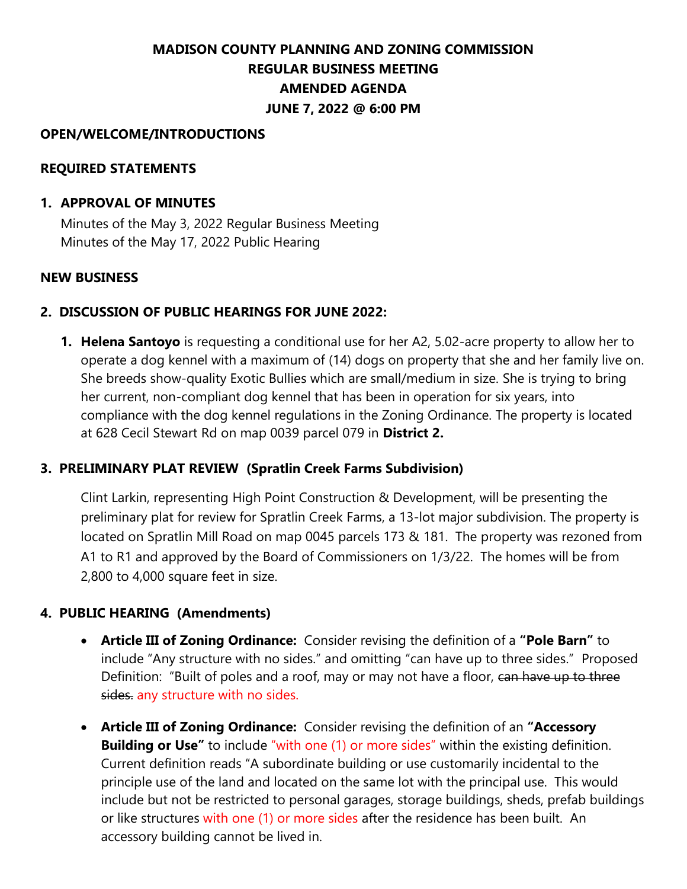# **MADISON COUNTY PLANNING AND ZONING COMMISSION REGULAR BUSINESS MEETING AMENDED AGENDA JUNE 7, 2022 @ 6:00 PM**

## **OPEN/WELCOME/INTRODUCTIONS**

## **REQUIRED STATEMENTS**

#### **1. APPROVAL OF MINUTES**

Minutes of the May 3, 2022 Regular Business Meeting Minutes of the May 17, 2022 Public Hearing

#### **NEW BUSINESS**

## **2. DISCUSSION OF PUBLIC HEARINGS FOR JUNE 2022:**

**1. Helena Santoyo** is requesting a conditional use for her A2, 5.02-acre property to allow her to operate a dog kennel with a maximum of (14) dogs on property that she and her family live on. She breeds show-quality Exotic Bullies which are small/medium in size. She is trying to bring her current, non-compliant dog kennel that has been in operation for six years, into compliance with the dog kennel regulations in the Zoning Ordinance. The property is located at 628 Cecil Stewart Rd on map 0039 parcel 079 in **District 2.**

## **3. PRELIMINARY PLAT REVIEW (Spratlin Creek Farms Subdivision)**

Clint Larkin, representing High Point Construction & Development, will be presenting the preliminary plat for review for Spratlin Creek Farms, a 13-lot major subdivision. The property is located on Spratlin Mill Road on map 0045 parcels 173 & 181. The property was rezoned from A1 to R1 and approved by the Board of Commissioners on 1/3/22. The homes will be from 2,800 to 4,000 square feet in size.

## **4. PUBLIC HEARING (Amendments)**

- **Article III of Zoning Ordinance:** Consider revising the definition of a **"Pole Barn"** to include "Any structure with no sides." and omitting "can have up to three sides." Proposed Definition: "Built of poles and a roof, may or may not have a floor, can have up to three sides. any structure with no sides.
- **Article III of Zoning Ordinance:** Consider revising the definition of an **"Accessory Building or Use"** to include "with one (1) or more sides" within the existing definition. Current definition reads "A subordinate building or use customarily incidental to the principle use of the land and located on the same lot with the principal use. This would include but not be restricted to personal garages, storage buildings, sheds, prefab buildings or like structures with one (1) or more sides after the residence has been built. An accessory building cannot be lived in.